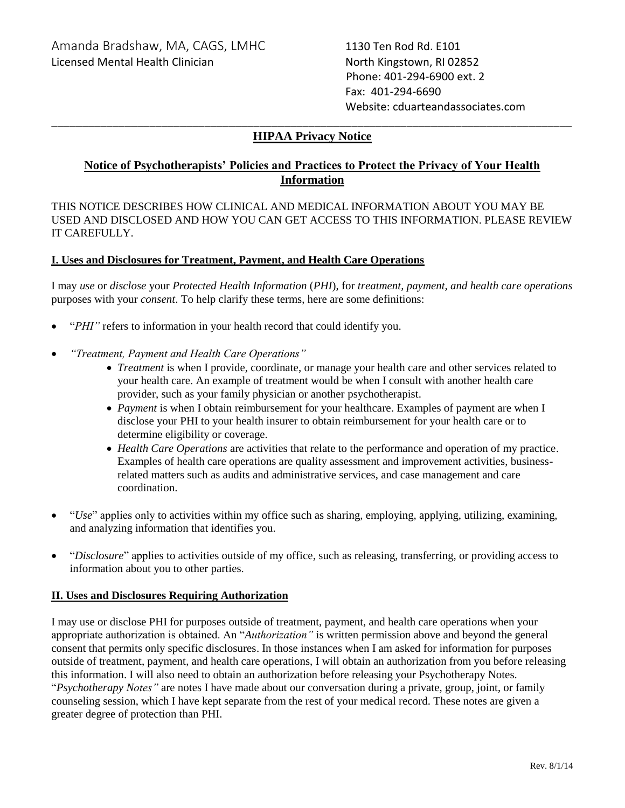Phone: 401-294-6900 ext. 2 Fax: 401-294-6690 Website: cduarteandassociates.com

## \_\_\_\_\_\_\_\_\_\_\_\_\_\_\_\_\_\_\_\_\_\_\_\_\_\_\_\_\_\_\_\_\_\_\_\_\_\_\_\_\_\_\_\_\_\_\_\_\_\_\_\_\_\_\_\_\_\_\_\_\_\_\_\_\_\_\_\_\_\_\_\_\_\_\_\_\_\_\_\_\_\_\_\_\_ **HIPAA Privacy Notice**

# **Notice of Psychotherapists' Policies and Practices to Protect the Privacy of Your Health Information**

THIS NOTICE DESCRIBES HOW CLINICAL AND MEDICAL INFORMATION ABOUT YOU MAY BE USED AND DISCLOSED AND HOW YOU CAN GET ACCESS TO THIS INFORMATION. PLEASE REVIEW IT CAREFULLY.

#### **I. Uses and Disclosures for Treatment, Payment, and Health Care Operations**

I may *use* or *disclose* your *Protected Health Information* (*PHI*), for *treatment, payment, and health care operations*  purposes with your *consent*. To help clarify these terms, here are some definitions:

- "*PHI*" refers to information in your health record that could identify you.
- *"Treatment, Payment and Health Care Operations"*
	- *Treatment* is when I provide, coordinate, or manage your health care and other services related to your health care. An example of treatment would be when I consult with another health care provider, such as your family physician or another psychotherapist.
	- *Payment* is when I obtain reimbursement for your healthcare. Examples of payment are when I disclose your PHI to your health insurer to obtain reimbursement for your health care or to determine eligibility or coverage.
	- *Health Care Operations* are activities that relate to the performance and operation of my practice. Examples of health care operations are quality assessment and improvement activities, businessrelated matters such as audits and administrative services, and case management and care coordination.
- "*Use*" applies only to activities within my office such as sharing, employing, applying, utilizing, examining, and analyzing information that identifies you.
- "*Disclosure*" applies to activities outside of my office, such as releasing, transferring, or providing access to information about you to other parties.

#### **II. Uses and Disclosures Requiring Authorization**

I may use or disclose PHI for purposes outside of treatment, payment, and health care operations when your appropriate authorization is obtained. An "*Authorization"* is written permission above and beyond the general consent that permits only specific disclosures. In those instances when I am asked for information for purposes outside of treatment, payment, and health care operations, I will obtain an authorization from you before releasing this information. I will also need to obtain an authorization before releasing your Psychotherapy Notes. "*Psychotherapy Notes"* are notes I have made about our conversation during a private, group, joint, or family counseling session, which I have kept separate from the rest of your medical record. These notes are given a greater degree of protection than PHI.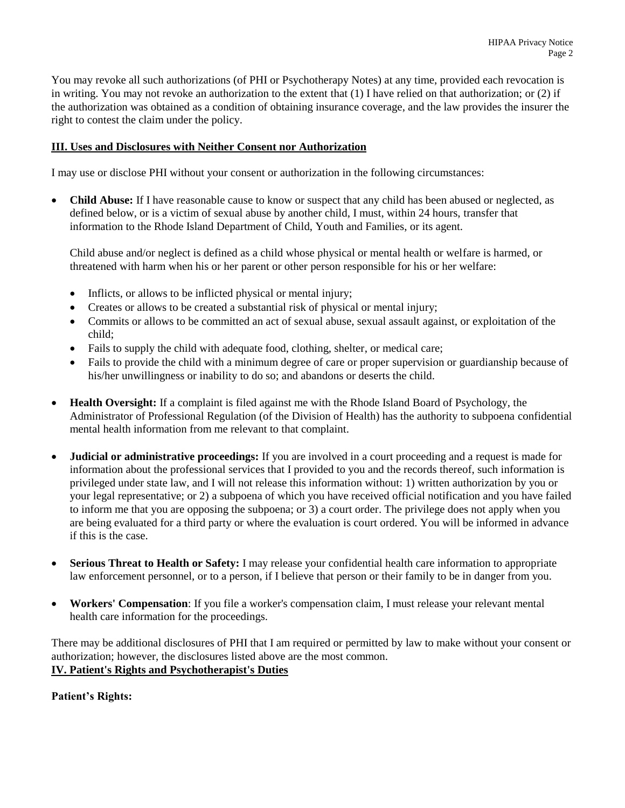You may revoke all such authorizations (of PHI or Psychotherapy Notes) at any time, provided each revocation is in writing. You may not revoke an authorization to the extent that (1) I have relied on that authorization; or (2) if the authorization was obtained as a condition of obtaining insurance coverage, and the law provides the insurer the right to contest the claim under the policy.

#### **III. Uses and Disclosures with Neither Consent nor Authorization**

I may use or disclose PHI without your consent or authorization in the following circumstances:

• **Child Abuse:** If I have reasonable cause to know or suspect that any child has been abused or neglected, as defined below, or is a victim of sexual abuse by another child, I must, within 24 hours, transfer that information to the Rhode Island Department of Child, Youth and Families, or its agent.

Child abuse and/or neglect is defined as a child whose physical or mental health or welfare is harmed, or threatened with harm when his or her parent or other person responsible for his or her welfare:

- Inflicts, or allows to be inflicted physical or mental injury;
- Creates or allows to be created a substantial risk of physical or mental injury;
- Commits or allows to be committed an act of sexual abuse, sexual assault against, or exploitation of the child;
- Fails to supply the child with adequate food, clothing, shelter, or medical care;
- Fails to provide the child with a minimum degree of care or proper supervision or guardianship because of his/her unwillingness or inability to do so; and abandons or deserts the child.
- **Health Oversight:** If a complaint is filed against me with the Rhode Island Board of Psychology, the Administrator of Professional Regulation (of the Division of Health) has the authority to subpoena confidential mental health information from me relevant to that complaint.
- **Judicial or administrative proceedings:** If you are involved in a court proceeding and a request is made for information about the professional services that I provided to you and the records thereof, such information is privileged under state law, and I will not release this information without: 1) written authorization by you or your legal representative; or 2) a subpoena of which you have received official notification and you have failed to inform me that you are opposing the subpoena; or 3) a court order. The privilege does not apply when you are being evaluated for a third party or where the evaluation is court ordered. You will be informed in advance if this is the case.
- **Serious Threat to Health or Safety:** I may release your confidential health care information to appropriate law enforcement personnel, or to a person, if I believe that person or their family to be in danger from you.
- **Workers' Compensation**: If you file a worker's compensation claim, I must release your relevant mental health care information for the proceedings.

There may be additional disclosures of PHI that I am required or permitted by law to make without your consent or authorization; however, the disclosures listed above are the most common. **IV. Patient's Rights and Psychotherapist's Duties**

#### **Patient's Rights:**